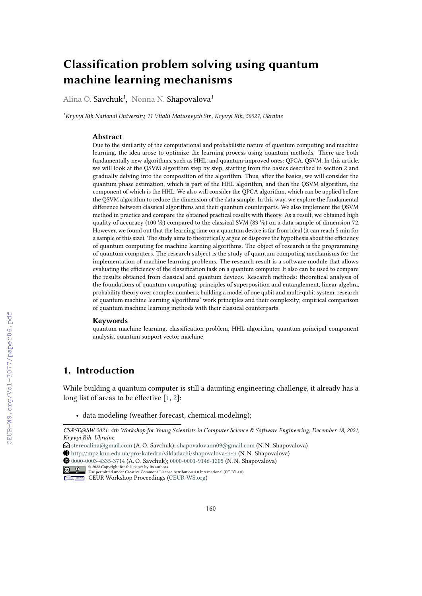# **Classification problem solving using quantum machine learning mechanisms**

Alina O. Savchuk*<sup>1</sup>* , Nonna N. Shapovalova*<sup>1</sup>*

*<sup>1</sup>Kryvyi Rih National University, 11 Vitalii Matusevych Str., Kryvyi Rih, 50027, Ukraine*

#### **Abstract**

Due to the similarity of the computational and probabilistic nature of quantum computing and machine learning, the idea arose to optimize the learning process using quantum methods. There are both fundamentally new algorithms, such as HHL, and quantum-improved ones: QPCA, QSVM. In this article, we will look at the QSVM algorithm step by step, starting from the basics described in section 2 and gradually delving into the composition of the algorithm. Thus, after the basics, we will consider the quantum phase estimation, which is part of the HHL algorithm, and then the QSVM algorithm, the component of which is the HHL. We also will consider the QPCA algorithm, which can be applied before the QSVM algorithm to reduce the dimension of the data sample. In this way, we explore the fundamental difference between classical algorithms and their quantum counterparts. We also implement the QSVM method in practice and compare the obtained practical results with theory. As a result, we obtained high quality of accuracy (100 %) compared to the classical SVM (83 %) on a data sample of dimension 72. However, we found out that the learning time on a quantum device is far from ideal (it can reach 5 min for a sample of this size). The study aims to theoretically argue or disprove the hypothesis about the efficiency of quantum computing for machine learning algorithms. The object of research is the programming of quantum computers. The research subject is the study of quantum computing mechanisms for the implementation of machine learning problems. The research result is a software module that allows evaluating the efficiency of the classification task on a quantum computer. It also can be used to compare the results obtained from classical and quantum devices. Research methods: theoretical analysis of the foundations of quantum computing: principles of superposition and entanglement, linear algebra, probability theory over complex numbers; building a model of one qubit and multi-qubit system; research of quantum machine learning algorithms' work principles and their complexity; empirical comparison of quantum machine learning methods with their classical counterparts.

#### **Keywords**

quantum machine learning, classification problem, HHL algorithm, quantum principal component analysis, quantum support vector machine

## **1. Introduction**

While building a quantum computer is still a daunting engineering challenge, it already has a long list of areas to be effective [\[1,](#page--1-0) [2\]](#page--1-1):

• data modeling (weather forecast, chemical modeling);

*Kryvyi Rih, Ukraine CS&SE@SW 2021: 4th Workshop for Young Scientists in Computer Science & Software Engineering, December 18, 2021,*

 $\bigcirc$  [stereoalina@gmail.com](mailto:stereoalina@gmail.com) (A. O. Savchuk); [shapovalovann09@gmail.com](mailto:shapovalovann09@gmail.com) (N. N. Shapovalova)

<sup>~</sup> <http://mpz.knu.edu.ua/pro-kafedru/vikladachi/shapovalova-n-n> (N. N. Shapovalova)

[0000-0003-4335-3714](https://orcid.org/0000-0003-4335-3714) (A. O. Savchuk); [0000-0001-9146-1205](https://orcid.org/0000-0001-9146-1205) (N. N. Shapovalova) © 2022 Copyright for this paper by its authors. Use permitted under Creative Commons License Attribution 4.0 International (CC BY 4.0).

CEUR Workshop [Proceedings](http://ceur-ws.org) [\(CEUR-WS.org\)](http://ceur-ws.org)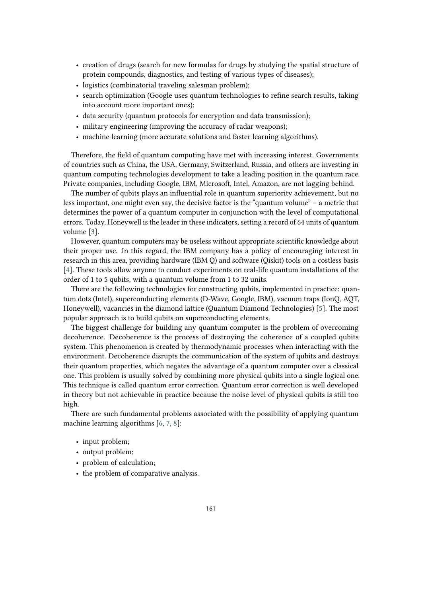- creation of drugs (search for new formulas for drugs by studying the spatial structure of protein compounds, diagnostics, and testing of various types of diseases);
- logistics (combinatorial traveling salesman problem);
- search optimization (Google uses quantum technologies to refine search results, taking into account more important ones);
- data security (quantum protocols for encryption and data transmission);
- military engineering (improving the accuracy of radar weapons);
- machine learning (more accurate solutions and faster learning algorithms).

Therefore, the field of quantum computing have met with increasing interest. Governments of countries such as China, the USA, Germany, Switzerland, Russia, and others are investing in quantum computing technologies development to take a leading position in the quantum race. Private companies, including Google, IBM, Microsoft, Intel, Amazon, are not lagging behind.

The number of qubits plays an influential role in quantum superiority achievement, but no less important, one might even say, the decisive factor is the "quantum volume" – a metric that determines the power of a quantum computer in conjunction with the level of computational errors. Today, Honeywell is the leader in these indicators, setting a record of 64 units of quantum volume [\[3\]](#page-12-0).

However, quantum computers may be useless without appropriate scientific knowledge about their proper use. In this regard, the IBM company has a policy of encouraging interest in research in this area, providing hardware (IBM Q) and software (Qiskit) tools on a costless basis [\[4\]](#page-13-0). These tools allow anyone to conduct experiments on real-life quantum installations of the order of 1 to 5 qubits, with a quantum volume from 1 to 32 units.

There are the following technologies for constructing qubits, implemented in practice: quantum dots (Intel), superconducting elements (D-Wave, Google, IBM), vacuum traps (IonQ, AQT, Honeywell), vacancies in the diamond lattice (Quantum Diamond Technologies) [\[5\]](#page-13-1). The most popular approach is to build qubits on superconducting elements.

The biggest challenge for building any quantum computer is the problem of overcoming decoherence. Decoherence is the process of destroying the coherence of a coupled qubits system. This phenomenon is created by thermodynamic processes when interacting with the environment. Decoherence disrupts the communication of the system of qubits and destroys their quantum properties, which negates the advantage of a quantum computer over a classical one. This problem is usually solved by combining more physical qubits into a single logical one. This technique is called quantum error correction. Quantum error correction is well developed in theory but not achievable in practice because the noise level of physical qubits is still too high.

There are such fundamental problems associated with the possibility of applying quantum machine learning algorithms [\[6,](#page-13-2) [7,](#page-13-3) [8\]](#page-13-4):

- input problem;
- output problem;
- problem of calculation:
- the problem of comparative analysis.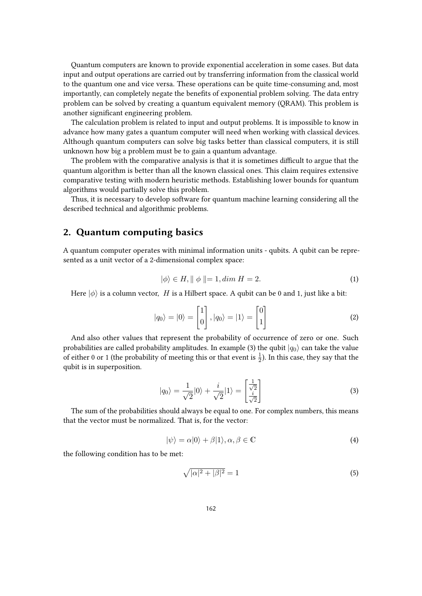Quantum computers are known to provide exponential acceleration in some cases. But data input and output operations are carried out by transferring information from the classical world to the quantum one and vice versa. These operations can be quite time-consuming and, most importantly, can completely negate the benefits of exponential problem solving. The data entry problem can be solved by creating a quantum equivalent memory (QRAM). This problem is another significant engineering problem.

The calculation problem is related to input and output problems. It is impossible to know in advance how many gates a quantum computer will need when working with classical devices. Although quantum computers can solve big tasks better than classical computers, it is still unknown how big a problem must be to gain a quantum advantage.

The problem with the comparative analysis is that it is sometimes difficult to argue that the quantum algorithm is better than all the known classical ones. This claim requires extensive comparative testing with modern heuristic methods. Establishing lower bounds for quantum algorithms would partially solve this problem.

Thus, it is necessary to develop software for quantum machine learning considering all the described technical and algorithmic problems.

#### **2. Quantum computing basics**

A quantum computer operates with minimal information units - qubits. A qubit can be represented as a unit vector of a 2-dimensional complex space:

$$
|\phi\rangle \in H, \parallel \phi \parallel = 1, \dim H = 2. \tag{1}
$$

Here  $|\phi\rangle$  is a column vector, H is a Hilbert space. A qubit can be 0 and 1, just like a bit:

$$
|q_0\rangle = |0\rangle = \begin{bmatrix} 1 \\ 0 \end{bmatrix}, |q_0\rangle = |1\rangle = \begin{bmatrix} 0 \\ 1 \end{bmatrix}
$$
 (2)

And also other values that represent the probability of occurrence of zero or one. Such probabilities are called probability amplitudes. In example (3) the qubit  $|q_0\rangle$  can take the value of either 0 or 1 (the probability of meeting this or that event is  $\frac{1}{2}$ ). In this case, they say that the qubit is in superposition.

$$
|q_0\rangle = \frac{1}{\sqrt{2}}|0\rangle + \frac{i}{\sqrt{2}}|1\rangle = \begin{bmatrix} \frac{1}{\sqrt{2}}\\ \frac{i}{\sqrt{2}} \end{bmatrix}
$$
 (3)

The sum of the probabilities should always be equal to one. For complex numbers, this means that the vector must be normalized. That is, for the vector:

$$
|\psi\rangle = \alpha|0\rangle + \beta|1\rangle, \alpha, \beta \in \mathbb{C}
$$
\n(4)

the following condition has to be met:

$$
\sqrt{|\alpha|^2 + |\beta|^2} = 1\tag{5}
$$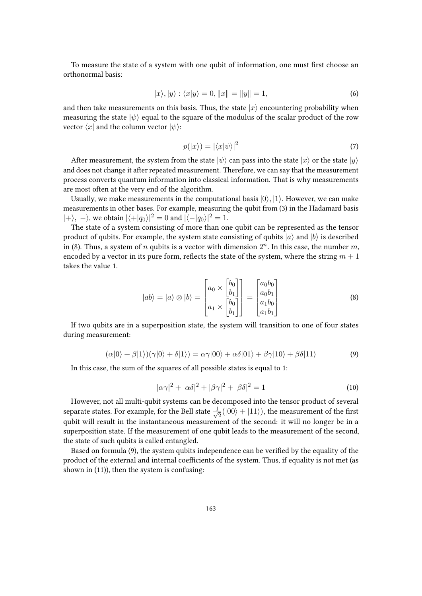To measure the state of a system with one qubit of information, one must first choose an orthonormal basis:

$$
|x\rangle, |y\rangle : \langle x|y\rangle = 0, \|x\| = \|y\| = 1,\tag{6}
$$

and then take measurements on this basis. Thus, the state  $|x\rangle$  encountering probability when measuring the state  $|\psi\rangle$  equal to the square of the modulus of the scalar product of the row vector  $\langle x |$  and the column vector  $|\psi\rangle$ :

$$
p(|x\rangle) = |\langle x|\psi\rangle|^2 \tag{7}
$$

After measurement, the system from the state  $|\psi\rangle$  can pass into the state  $|x\rangle$  or the state  $|\psi\rangle$ and does not change it after repeated measurement. Therefore, we can say that the measurement process converts quantum information into classical information. That is why measurements are most often at the very end of the algorithm.

Usually, we make measurements in the computational basis  $|0\rangle, |1\rangle$ . However, we can make measurements in other bases. For example, measuring the qubit from (3) in the Hadamard basis  $|+\rangle, |-\rangle$ , we obtain  $|\langle +|q_0\rangle|^2 = 0$  and  $|\langle -|q_0\rangle|^2 = 1$ .

The state of a system consisting of more than one qubit can be represented as the tensor product of qubits. For example, the system state consisting of qubits  $|a\rangle$  and  $|b\rangle$  is described in (8). Thus, a system of  $n$  qubits is a vector with dimension  $2^n$ . In this case, the number  $m$ , encoded by a vector in its pure form, reflects the state of the system, where the string  $m + 1$ takes the value 1.

$$
|ab\rangle = |a\rangle \otimes |b\rangle = \begin{bmatrix} a_0 \times \begin{bmatrix} b_0 \\ b_1 \end{bmatrix} \\ a_1 \times \begin{bmatrix} b_0 \\ b_0 \end{bmatrix} \end{bmatrix} = \begin{bmatrix} a_0b_0 \\ a_0b_1 \\ a_1b_0 \\ a_1b_1 \end{bmatrix}
$$
 (8)

If two qubits are in a superposition state, the system will transition to one of four states during measurement:

$$
(\alpha|0\rangle + \beta|1\rangle)(\gamma|0\rangle + \delta|1\rangle) = \alpha\gamma|00\rangle + \alpha\delta|01\rangle + \beta\gamma|10\rangle + \beta\delta|11\rangle
$$
\n(9)

In this case, the sum of the squares of all possible states is equal to 1:

$$
|\alpha \gamma|^2 + |\alpha \delta|^2 + |\beta \gamma|^2 + |\beta \delta|^2 = 1 \tag{10}
$$

However, not all multi-qubit systems can be decomposed into the tensor product of several separate states. For example, for the Bell state  $\frac{1}{\sqrt{2}}$  $\frac{1}{2}(|00\rangle + |11\rangle),$  the measurement of the first qubit will result in the instantaneous measurement of the second: it will no longer be in a superposition state. If the measurement of one qubit leads to the measurement of the second, the state of such qubits is called entangled.

Based on formula (9), the system qubits independence can be verified by the equality of the product of the external and internal coefficients of the system. Thus, if equality is not met (as shown in (11)), then the system is confusing: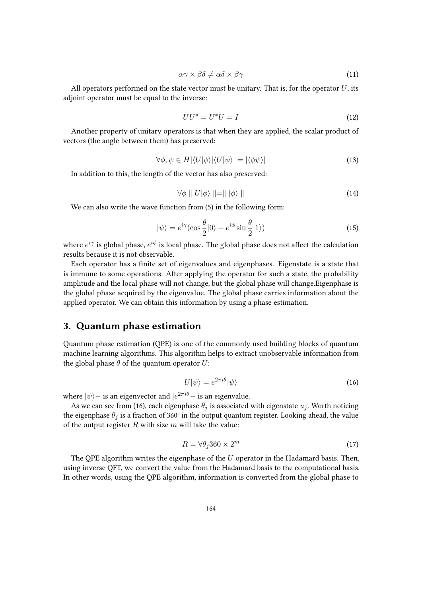$$
\alpha \gamma \times \beta \delta \neq \alpha \delta \times \beta \gamma \tag{11}
$$

All operators performed on the state vector must be unitary. That is, for the operator  $U$ , its adjoint operator must be equal to the inverse:

$$
UU^* = U^*U = I \tag{12}
$$

Another property of unitary operators is that when they are applied, the scalar product of vectors (the angle between them) has preserved:

$$
\forall \phi, \psi \in H \vert \langle U \vert \phi \rangle \vert \langle U \vert \psi \rangle \vert = \vert \langle \phi \psi \rangle \vert \tag{13}
$$

In addition to this, the length of the vector has also preserved:

$$
\forall \phi \parallel U|\phi\rangle \parallel = \parallel |\phi\rangle \parallel \tag{14}
$$

We can also write the wave function from (5) in the following form:

$$
|\psi\rangle = e^{i\gamma} (\cos\frac{\theta}{2}|0\rangle + e^{i\phi} \sin\frac{\theta}{2}|1\rangle)
$$
 (15)

where  $e^{i\gamma}$  is global phase,  $e^{i\phi}$  is local phase. The global phase does not affect the calculation results because it is not observable.

Each operator has a finite set of eigenvalues and eigenphases. Eigenstate is a state that is immune to some operations. After applying the operator for such a state, the probability amplitude and the local phase will not change, but the global phase will change.Eigenphase is the global phase acquired by the eigenvalue. The global phase carries information about the applied operator. We can obtain this information by using a phase estimation.

#### **3. Quantum phase estimation**

Quantum phase estimation (QPE) is one of the commonly used building blocks of quantum machine learning algorithms. This algorithm helps to extract unobservable information from the global phase  $\theta$  of the quantum operator U:

$$
U|\psi\rangle = e^{2\pi i \theta}|\psi\rangle \tag{16}
$$

where  $|\psi\rangle$ — is an eigenvector and  $|e^{2\pi i\theta}-$  is an eigenvalue.

As we can see from (16), each eigenphase  $\theta_i$  is associated with eigenstate  $u_i$ . Worth noticing the eigenphase  $\theta_i$  is a fraction of 360° in the output quantum register. Looking ahead, the value of the output register  $R$  with size  $m$  will take the value:

$$
R = \forall \theta_j 360 \times 2^m \tag{17}
$$

The QPE algorithm writes the eigenphase of the  $U$  operator in the Hadamard basis. Then, using inverse QFT, we convert the value from the Hadamard basis to the computational basis. In other words, using the QPE algorithm, information is converted from the global phase to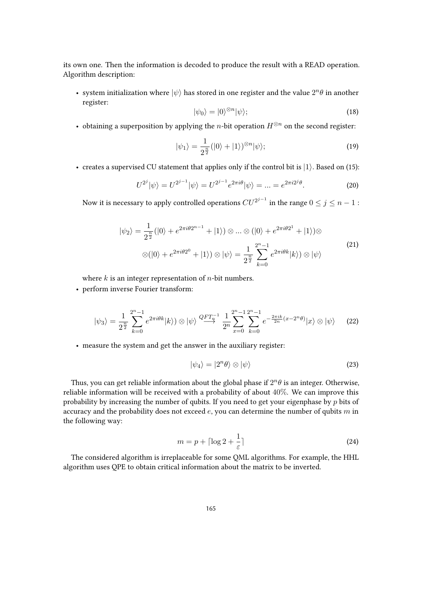its own one. Then the information is decoded to produce the result with a READ operation. Algorithm description:

- system initialization where  $\ket{\psi}$  has stored in one register and the value  $2^n\theta$  in another register:

$$
|\psi_0\rangle = |0\rangle^{\otimes n} |\psi\rangle; \tag{18}
$$

• obtaining a superposition by applying the *n*-bit operation  $H^{\otimes n}$  on the second register:

$$
|\psi_1\rangle = \frac{1}{2^{\frac{n}{2}}} (|0\rangle + |1\rangle)^{\otimes n} |\psi\rangle; \tag{19}
$$

• creates a supervised CU statement that applies only if the control bit is  $|1\rangle$ . Based on (15):

$$
U^{2^j}|\psi\rangle = U^{2^{j-1}}|\psi\rangle = U^{2^{j-1}}e^{2\pi i\theta}|\psi\rangle = \dots = e^{2\pi i 2^j\theta}.
$$
 (20)

Now it is necessary to apply controlled operations  $CU^{2^{j-1}}$  in the range  $0\leq j\leq n-1$  :

$$
|\psi_2\rangle = \frac{1}{2^{\frac{n}{2}}} (|0\rangle + e^{2\pi i \theta 2^{n-1}} + |1\rangle) \otimes \dots \otimes (|0\rangle + e^{2\pi i \theta 2^1} + |1\rangle) \otimes
$$
  

$$
\otimes (|0\rangle + e^{2\pi i \theta 2^0} + |1\rangle) \otimes |\psi\rangle = \frac{1}{2^{\frac{n}{2}}} \sum_{k=0}^{2^{n-1}} e^{2\pi i \theta k} |k\rangle) \otimes |\psi\rangle
$$
 (21)

where  $k$  is an integer representation of  $n$ -bit numbers.

• perform inverse Fourier transform:

$$
|\psi_3\rangle = \frac{1}{2^{\frac{n}{2}}} \sum_{k=0}^{2^{n}-1} e^{2\pi i\theta k} |k\rangle\rangle \otimes |\psi\rangle \stackrel{QFT_{n}^{-1}}{\longrightarrow} \frac{1}{2^{n}} \sum_{x=0}^{2^{n}-1} \sum_{k=0}^{2^{n}-1} e^{-\frac{2\pi i k}{2^{n}}(x-2^{n}\theta)} |x\rangle \otimes |\psi\rangle \tag{22}
$$

• measure the system and get the answer in the auxiliary register:

$$
|\psi_4\rangle = |2^n \theta\rangle \otimes |\psi\rangle \tag{23}
$$

Thus, you can get reliable information about the global phase if  $2^n\theta$  is an integer. Otherwise, reliable information will be received with a probability of about 40%. We can improve this probability by increasing the number of qubits. If you need to get your eigenphase by  $p$  bits of accuracy and the probability does not exceed  $e$ , you can determine the number of qubits  $m$  in the following way:

$$
m = p + \lceil \log 2 + \frac{1}{\varepsilon} \rceil \tag{24}
$$

The considered algorithm is irreplaceable for some QML algorithms. For example, the HHL algorithm uses QPE to obtain critical information about the matrix to be inverted.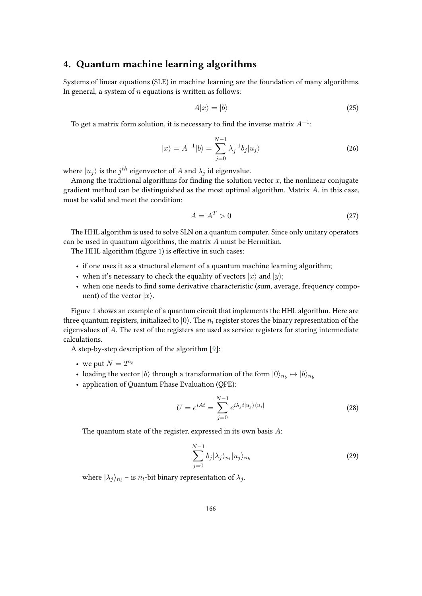#### **4. Quantum machine learning algorithms**

Systems of linear equations (SLE) in machine learning are the foundation of many algorithms. In general, a system of  $n$  equations is written as follows:

$$
A|x\rangle = |b\rangle \tag{25}
$$

To get a matrix form solution, it is necessary to find the inverse matrix  $A^{-1}$ :

$$
|x\rangle = A^{-1}|b\rangle = \sum_{j=0}^{N-1} \lambda_j^{-1} b_j |u_j\rangle
$$
 (26)

where  $|u_j\rangle$  is the  $j^{th}$  eigenvector of  $A$  and  $\lambda_j$  id eigenvalue.

Among the traditional algorithms for finding the solution vector  $x$ , the nonlinear conjugate gradient method can be distinguished as the most optimal algorithm. Matrix  $A$ . in this case, must be valid and meet the condition:

$$
A = A^T > 0 \tag{27}
$$

The HHL algorithm is used to solve SLN on a quantum computer. Since only unitary operators can be used in quantum algorithms, the matrix  $A$  must be Hermitian.

The HHL algorithm (figure [1\)](#page-7-0) is effective in such cases:

- if one uses it as a structural element of a quantum machine learning algorithm;
- when it's necessary to check the equality of vectors  $|x\rangle$  and  $|y\rangle$ ;
- when one needs to find some derivative characteristic (sum, average, frequency component) of the vector  $|x\rangle$ .

Figure 1 shows an example of a quantum circuit that implements the HHL algorithm. Here are three quantum registers, initialized to  $|0\rangle$ . The  $n_l$  register stores the binary representation of the eigenvalues of  $A$ . The rest of the registers are used as service registers for storing intermediate calculations.

A step-by-step description of the algorithm [\[9\]](#page-13-5):

- we put  $N = 2^{n_b}$
- loading the vector  $|b\rangle$  through a transformation of the form  $|0\rangle_{n_b} \mapsto |b\rangle_{n_b}$
- application of Quantum Phase Evaluation (QPE):

$$
U = e^{iAt} = \sum_{j=0}^{N-1} e^{i\lambda_j t |u_j\rangle\langle u_i|}
$$
 (28)

The quantum state of the register, expressed in its own basis  $A$ :

$$
\sum_{j=0}^{N-1} b_j |\lambda_j\rangle_{n_l} |u_j\rangle_{n_b}
$$
 (29)

where  $|\lambda_j\rangle_{n_l}$  – is  $n_l$ -bit binary representation of  $\lambda_j.$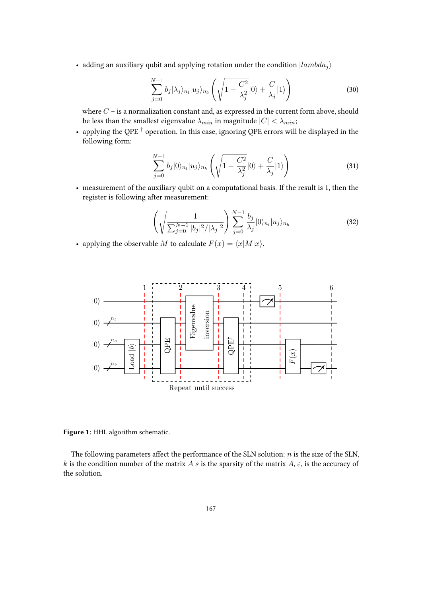• adding an auxiliary qubit and applying rotation under the condition  $|lambda_j\rangle$ 

$$
\sum_{j=0}^{N-1} b_j |\lambda_j\rangle_{n_l} |u_j\rangle_{n_b} \left( \sqrt{1 - \frac{C^2}{\lambda_j^2}} |0\rangle + \frac{C}{\lambda_j} |1\rangle \right) \tag{30}
$$

where  $C$  – is a normalization constant and, as expressed in the current form above, should be less than the smallest eigenvalue  $\lambda_{min}$  in magnitude  $|C| < \lambda_{min}$ ;

• applying the QPE  $^{\dagger}$  operation. In this case, ignoring QPE errors will be displayed in the following form:

$$
\sum_{j=0}^{N-1} b_j |0\rangle_{n_l} |u_j\rangle_{n_b} \left( \sqrt{1 - \frac{C^2}{\lambda_j^2}} |0\rangle + \frac{C}{\lambda_j} |1\rangle \right) \tag{31}
$$

• measurement of the auxiliary qubit on a computational basis. If the result is 1, then the register is following after measurement:

$$
\left(\sqrt{\frac{1}{\sum_{j=0}^{N-1} |b_j|^2/|\lambda_j|^2}}\right) \sum_{j=0}^{N-1} \frac{b_j}{\lambda_j} |0\rangle_{n_l} |u_j\rangle_{n_b}
$$
\n(32)

• applying the observable M to calculate  $F(x) = \langle x | M | x \rangle$ .



<span id="page-7-0"></span>**Figure 1:** HHL algorithm schematic.

The following parameters affect the performance of the SLN solution:  $n$  is the size of the SLN, k is the condition number of the matrix A s is the sparsity of the matrix  $A$ ,  $\varepsilon$ , is the accuracy of the solution.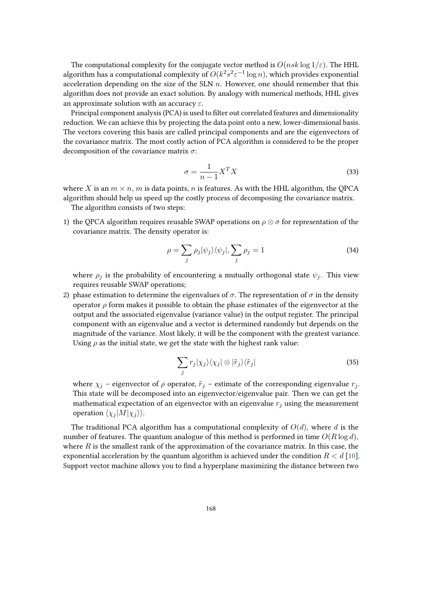The computational complexity for the conjugate vector method is  $O(nsk \log 1/\varepsilon)$ . The HHL algorithm has a computational complexity of  $O(k^2 s^2 \varepsilon^{-1} \log n)$ , which provides exponential acceleration depending on the size of the SLN  $n$ . However, one should remember that this algorithm does not provide an exact solution. By analogy with numerical methods, HHL gives an approximate solution with an accuracy  $\varepsilon$ .

Principal component analysis (PCA) is used to filter out correlated features and dimensionality reduction. We can achieve this by projecting the data point onto a new, lower-dimensional basis. The vectors covering this basis are called principal components and are the eigenvectors of the covariance matrix. The most costly action of PCA algorithm is considered to be the proper decomposition of the covariance matrix  $\sigma$ :

$$
\sigma = \frac{1}{n-1} X^T X \tag{33}
$$

where X is an  $m \times n$ , m is data points, n is features. As with the HHL algorithm, the QPCA algorithm should help us speed up the costly process of decomposing the covariance matrix.

The algorithm consists of two steps:

1) the QPCA algorithm requires reusable SWAP operations on  $\rho \otimes \sigma$  for representation of the covariance matrix. The density operator is:

$$
\rho = \sum_{j} \rho_j |\psi_j\rangle \langle \psi_j|, \sum_{j} \rho_j = 1 \tag{34}
$$

where  $\rho_i$  is the probability of encountering a mutually orthogonal state  $\psi_i$ . This view requires reusable SWAP operations;

2) phase estimation to determine the eigenvalues of  $\sigma$ . The representation of  $\sigma$  in the density operator  $\rho$  form makes it possible to obtain the phase estimates of the eigenvector at the output and the associated eigenvalue (variance value) in the output register. The principal component with an eigenvalue and a vector is determined randomly but depends on the magnitude of the variance. Most likely, it will be the component with the greatest variance. Using  $\rho$  as the initial state, we get the state with the highest rank value:

$$
\sum_{j} r_{j} |\chi_{j}\rangle\langle\chi_{j}| \otimes |\tilde{r}_{j}\rangle\langle\tilde{r}_{j}|
$$
\n(35)

where  $\chi_i$  – eigenvector of  $\rho$  operator,  $\tilde{r}_i$  – estimate of the corresponding eigenvalue  $r_i$ . This state will be decomposed into an eigenvector/eigenvalue pair. Then we can get the mathematical expectation of an eigenvector with an eigenvalue  $r_i$  using the measurement operation  $\langle \chi_j | M | \chi_j \rangle$ .

The traditional PCA algorithm has a computational complexity of  $O(d)$ , where d is the number of features. The quantum analogue of this method is performed in time  $O(R \log d)$ , where  $R$  is the smallest rank of the approximation of the covariance matrix. In this case, the exponential acceleration by the quantum algorithm is achieved under the condition  $R < d$  [\[10\]](#page-13-6). Support vector machine allows you to find a hyperplane maximizing the distance between two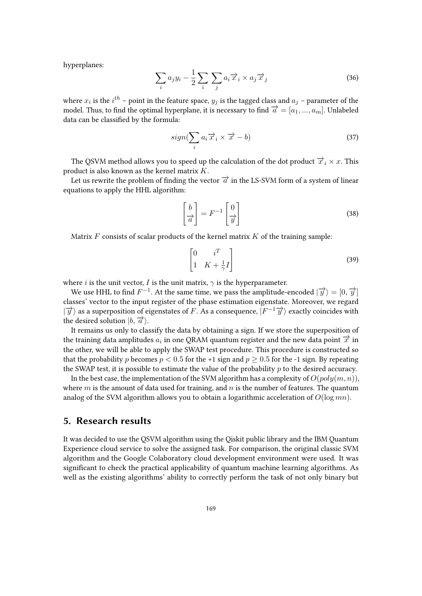hyperplanes:

$$
\sum_{i} a_{j} y_{i} - \frac{1}{2} \sum_{i} \sum_{j} a_{i} \overrightarrow{x}_{i} \times a_{j} \overrightarrow{x}_{j}
$$
\n(36)

where  $x_i$  is the  $i^{th}$  – point in the feature space,  $y_j$  is the tagged class and  $a_j$  – parameter of the model. Thus, to find the optimal hyperplane, it is necessary to find  $\overrightarrow{a} = [a_1, ..., a_m]$ . Unlabeled data can be classified by the formula:

$$
sign(\sum_{i} a_i \overrightarrow{x}_i \times \overrightarrow{x} - b)
$$
\n(37)

The QSVM method allows you to speed up the calculation of the dot product  $\vec{x}_i \times x$ . This product is also known as the kernel matrix  $K$ .

Let us rewrite the problem of finding the vector  $\overrightarrow{a}$  in the LS-SVM form of a system of linear equations to apply the HHL algorithm:

$$
\begin{bmatrix} b \\ \overrightarrow{a} \end{bmatrix} = F^{-1} \begin{bmatrix} 0 \\ \overrightarrow{y} \end{bmatrix}
$$
 (38)

Matrix  $F$  consists of scalar products of the kernel matrix  $K$  of the training sample:

$$
\begin{bmatrix} 0 & i^T \\ 1 & K + \frac{1}{\gamma}I \end{bmatrix}
$$
 (39)

where *i* is the unit vector, *I* is the unit matrix,  $\gamma$  is the hyperparameter.

We use HHL to find  $F^{-1}$ . At the same time, we pass the amplitude-encoded  $|\overrightarrow{y}\rangle = [0, \overrightarrow{y}]$ classes' vector to the input register of the phase estimation eigenstate. Moreover, we regard  $|\overrightarrow{y}\rangle$  as a superposition of eigenstates of F. As a consequence,  $|F^{-1}\overrightarrow{y}\rangle$  exactly coincides with the desired solution  $|b, \overrightarrow{a}\rangle$ .

It remains us only to classify the data by obtaining a sign. If we store the superposition of the training data amplitudes  $a_i$  in one QRAM quantum register and the new data point  $\overrightarrow{x}$  in the other, we will be able to apply the SWAP test procedure. This procedure is constructed so that the probability p becomes  $p < 0.5$  for the +1 sign and  $p > 0.5$  for the -1 sign. By repeating the SWAP test, it is possible to estimate the value of the probability  $p$  to the desired accuracy.

In the best case, the implementation of the SVM algorithm has a complexity of  $O(poly(m, n)),$ where  $m$  is the amount of data used for training, and  $n$  is the number of features. The quantum analog of the SVM algorithm allows you to obtain a logarithmic acceleration of  $O(\log mn)$ .

#### **5. Research results**

It was decided to use the QSVM algorithm using the Qiskit public library and the IBM Quantum Experience cloud service to solve the assigned task. For comparison, the original classic SVM algorithm and the Google Colaboratory cloud development environment were used. It was significant to check the practical applicability of quantum machine learning algorithms. As well as the existing algorithms' ability to correctly perform the task of not only binary but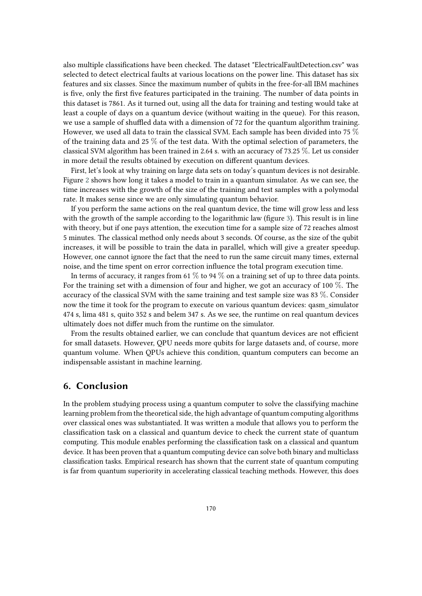also multiple classifications have been checked. The dataset "ElectricalFaultDetection.csv" was selected to detect electrical faults at various locations on the power line. This dataset has six features and six classes. Since the maximum number of qubits in the free-for-all IBM machines is five, only the first five features participated in the training. The number of data points in this dataset is 7861. As it turned out, using all the data for training and testing would take at least a couple of days on a quantum device (without waiting in the queue). For this reason, we use a sample of shuffled data with a dimension of 72 for the quantum algorithm training. However, we used all data to train the classical SVM. Each sample has been divided into 75  $\%$ of the training data and 25 % of the test data. With the optimal selection of parameters, the classical SVM algorithm has been trained in 2.64 s. with an accuracy of 73.25 %. Let us consider in more detail the results obtained by execution on different quantum devices.

First, let's look at why training on large data sets on today's quantum devices is not desirable. Figure [2](#page-11-0) shows how long it takes a model to train in a quantum simulator. As we can see, the time increases with the growth of the size of the training and test samples with a polymodal rate. It makes sense since we are only simulating quantum behavior.

If you perform the same actions on the real quantum device, the time will grow less and less with the growth of the sample according to the logarithmic law (figure [3\)](#page-12-1). This result is in line with theory, but if one pays attention, the execution time for a sample size of 72 reaches almost 5 minutes. The classical method only needs about 3 seconds. Of course, as the size of the qubit increases, it will be possible to train the data in parallel, which will give a greater speedup. However, one cannot ignore the fact that the need to run the same circuit many times, external noise, and the time spent on error correction influence the total program execution time.

In terms of accuracy, it ranges from 61  $\%$  to 94  $\%$  on a training set of up to three data points. For the training set with a dimension of four and higher, we got an accuracy of 100 %. The accuracy of the classical SVM with the same training and test sample size was 83 %. Consider now the time it took for the program to execute on various quantum devices: qasm\_simulator 474 s, lima 481 s, quito 352 s and belem 347 s. As we see, the runtime on real quantum devices ultimately does not differ much from the runtime on the simulator.

From the results obtained earlier, we can conclude that quantum devices are not efficient for small datasets. However, QPU needs more qubits for large datasets and, of course, more quantum volume. When QPUs achieve this condition, quantum computers can become an indispensable assistant in machine learning.

### **6. Conclusion**

In the problem studying process using a quantum computer to solve the classifying machine learning problem from the theoretical side, the high advantage of quantum computing algorithms over classical ones was substantiated. It was written a module that allows you to perform the classification task on a classical and quantum device to check the current state of quantum computing. This module enables performing the classification task on a classical and quantum device. It has been proven that a quantum computing device can solve both binary and multiclass classification tasks. Empirical research has shown that the current state of quantum computing is far from quantum superiority in accelerating classical teaching methods. However, this does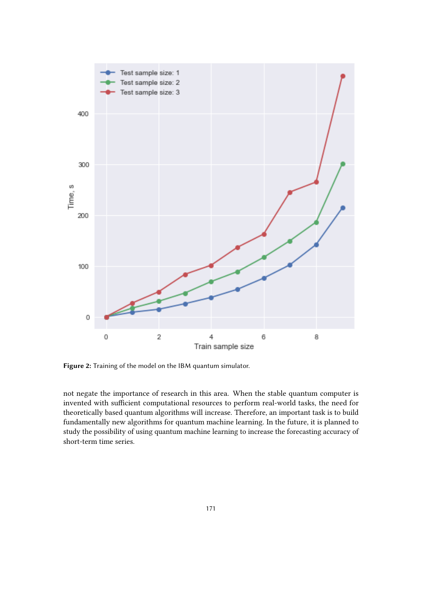

<span id="page-11-0"></span>**Figure 2:** Training of the model on the IBM quantum simulator.

not negate the importance of research in this area. When the stable quantum computer is invented with sufficient computational resources to perform real-world tasks, the need for theoretically based quantum algorithms will increase. Therefore, an important task is to build fundamentally new algorithms for quantum machine learning. In the future, it is planned to study the possibility of using quantum machine learning to increase the forecasting accuracy of short-term time series.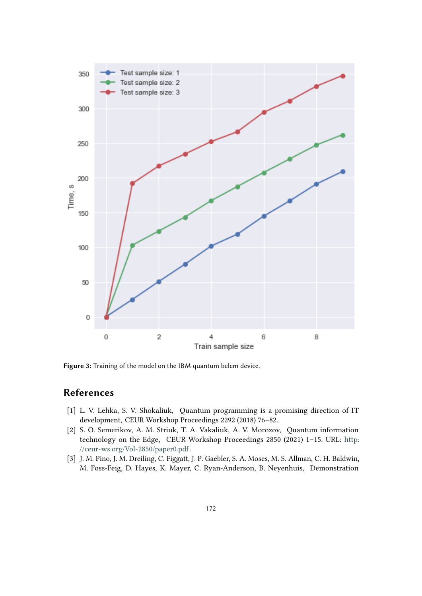

<span id="page-12-1"></span>**Figure 3:** Training of the model on the IBM quantum belem device.

### **References**

- [1] L. V. Lehka, S. V. Shokaliuk, Quantum programming is a promising direction of IT development, CEUR Workshop Proceedings 2292 (2018) 76–82.
- [2] S. O. Semerikov, A. M. Striuk, T. A. Vakaliuk, A. V. Morozov, Quantum information technology on the Edge, CEUR Workshop Proceedings 2850 (2021) 1–15. URL: [http:](http://ceur-ws.org/Vol-2850/paper0.pdf) [//ceur-ws.org/Vol-2850/paper0.pdf.](http://ceur-ws.org/Vol-2850/paper0.pdf)
- <span id="page-12-0"></span>[3] J. M. Pino, J. M. Dreiling, C. Figgatt, J. P. Gaebler, S. A. Moses, M. S. Allman, C. H. Baldwin, M. Foss-Feig, D. Hayes, K. Mayer, C. Ryan-Anderson, B. Neyenhuis, Demonstration